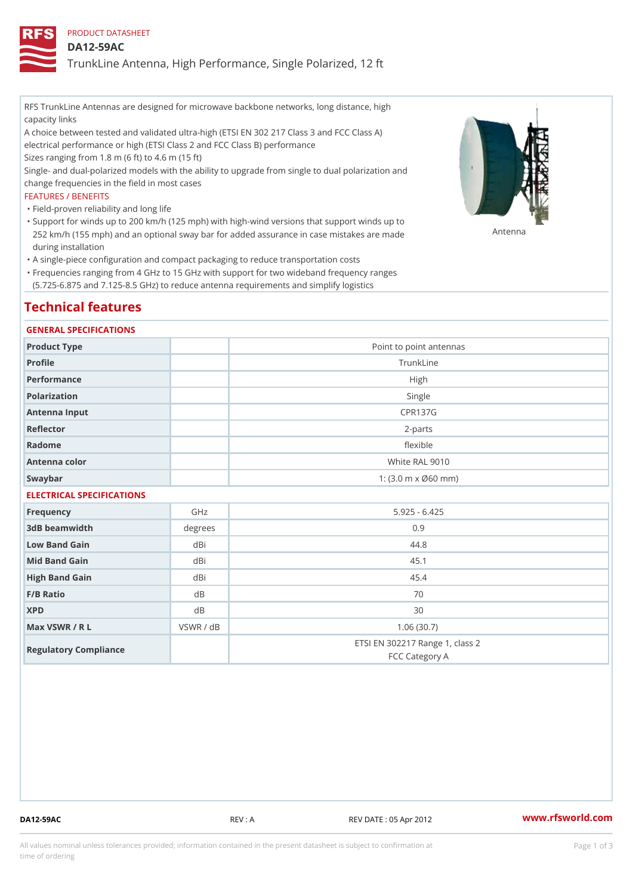PRODUCT DATASHEET

DA12-59AC

TrunkLine Antenna, High Performance, Single Polarized, 12 ft

RFS TrunkLine Antennas are designed for microwave backbone networks, long distance, high capacity links

A choice between tested and validated ultra-high (ETSI EN 302 217 Class 3 and FCC Class A) electrical performance or high (ETSI Class 2 and FCC Class B) performance

Sizes ranging from 1.8 m (6 ft) to 4.6 m (15 ft)

Single- and dual-polarized models with the ability to upgrade from single to dual polarization and change frequencies in the field in most cases

## FEATURES / BENEFITS

"Field-proven reliability and long life

- Support for winds up to 200 km/h (125 mph) with high-wind versions that support winds up to " 252 km/h (155 mph) and an optional sway bar for added assurance in case m S # \$ R & B are made during installation
- "A single-piece configuration and compact packaging to reduce transportation costs
- Frequencies ranging from 4 GHz to 15 GHz with support for two wideband frequency ranges " (5.725-6.875 and 7.125-8.5 GHz) to reduce antenna requirements and simplify logistics

# Technical features

## GENERAL SPECIFICATIONS

| Point to point antennas                                 |
|---------------------------------------------------------|
| TrunkLine                                               |
| High                                                    |
| Single                                                  |
| CPR137G                                                 |
| $2 - p$ arts                                            |
| flexible                                                |
| White RAL 9010                                          |
| 1: $(3.0 \, \text{m} \times \emptyset 60 \, \text{mm})$ |
|                                                         |

## ELECTRICAL SPECIFICATIONS

| Frequency             | GHz       | $5.925 - 6.425$                                   |
|-----------------------|-----------|---------------------------------------------------|
| 3dB beamwidth         | degrees   | 0.9                                               |
| Low Band Gain         | dBi       | 44.8                                              |
| Mid Band Gain         | dBi       | 45.1                                              |
| High Band Gain        | dBi       | 45.4                                              |
| $F/B$ Ratio           | d B       | 70                                                |
| <b>XPD</b>            | d B       | 30                                                |
| Max VSWR / R L        | VSWR / dB | 1.06(30.7)                                        |
| Regulatory Compliance |           | ETSI EN 302217 Range 1, class 2<br>FCC Category A |

DA12-59AC REV : A REV DATE : 05 Apr 2012 [www.](https://www.rfsworld.com)rfsworld.com

All values nominal unless tolerances provided; information contained in the present datasheet is subject to Pcapgeign mation time of ordering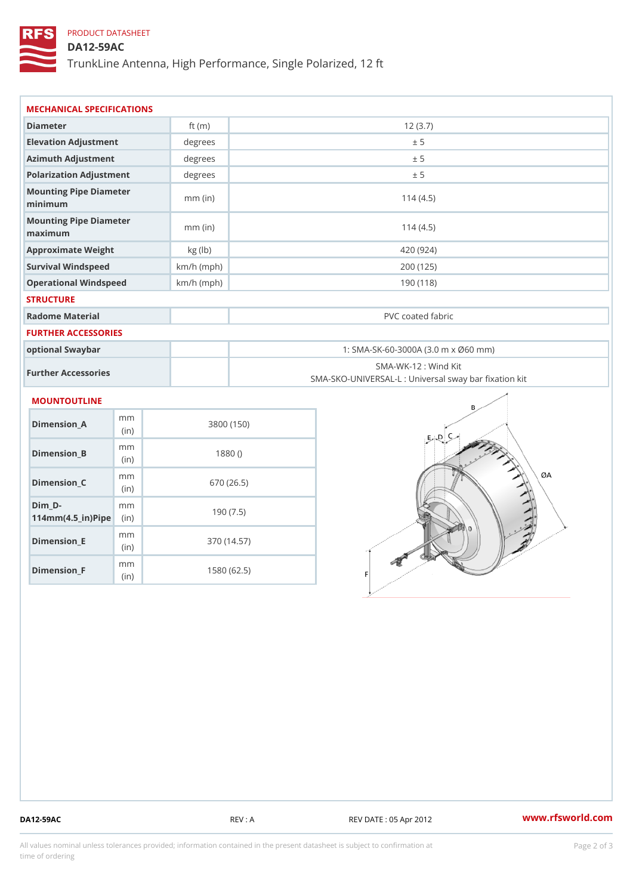# PRODUCT DATASHEET

DA12-59AC

TrunkLine Antenna, High Performance, Single Polarized, 12 ft

| MECHANICAL SPECIFICATIONS                                          |                        |              |                                     |                                                                          |
|--------------------------------------------------------------------|------------------------|--------------|-------------------------------------|--------------------------------------------------------------------------|
| Diameter                                                           |                        | ft $(m)$     | 12(3.7)                             |                                                                          |
| Elevation Adjustment                                               |                        | degrees      | ± 5                                 |                                                                          |
| Azimuth Adjustment                                                 |                        | degrees      | ± 5                                 |                                                                          |
| Polarization Adjustment                                            |                        | degrees      | ± 5                                 |                                                                          |
| Mounting Pipe Diameter<br>minimum                                  |                        | $mm$ (in)    | 114(4.5)                            |                                                                          |
| Mounting Pipe Diameter<br>maximum                                  |                        | $mm$ (in)    | 114(4.5)                            |                                                                          |
| Approximate Weight                                                 |                        | kg (lb)      | 420 (924)                           |                                                                          |
|                                                                    | Survival Windspeed     |              | $km/h$ (mph)<br>200 (125)           |                                                                          |
| Operational Windspeed                                              |                        | $km/h$ (mph) | 190 (118)                           |                                                                          |
| <b>STRUCTURE</b>                                                   |                        |              |                                     |                                                                          |
| Radome Material                                                    |                        |              | PVC coated fabric                   |                                                                          |
| FURTHER ACCESSORIES                                                |                        |              |                                     |                                                                          |
| optional Swaybar                                                   |                        |              | 1: SMA-SK-60-3000A (3.0 m x Ø60 mm) |                                                                          |
| Further Accessories                                                |                        |              |                                     | SMA-WK-12: Wind Kit<br>SMA-SKO-UNIVERSAL-L : Universal sway bar fixation |
| MOUNTOUTLINE                                                       |                        |              |                                     |                                                                          |
| Dimension A                                                        | m <sub>m</sub><br>(in) |              | 3800 (150)                          |                                                                          |
| $Dimension_B$                                                      | m m<br>(in)            |              | 1880()                              |                                                                          |
| $Dimension_C$                                                      | m m<br>(in)            |              | 670 (26.5)                          |                                                                          |
| $Dim_D - D -$<br>$114$ m m (4.5 _ ir ) $\sqrt{$ im $\cdot$ $\cdot$ | m <sub>m</sub>         |              | 190(7.5)                            |                                                                          |
| <b>B</b> the control of the control                                | m m                    |              | 07011177                            |                                                                          |

Dimension\_F m<sub>m</sub> (in) 1580 (62.5)

(in)

Dimension\_E

370 (14.57)

DA12-59AC REV : A REV DATE : 05 Apr 2012 [www.](https://www.rfsworld.com)rfsworld.com